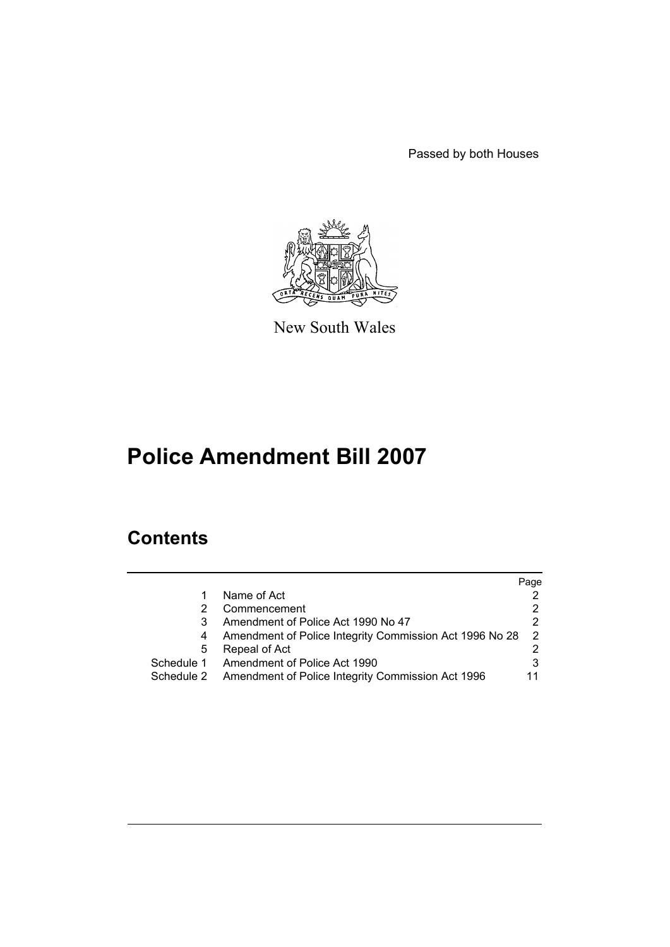Passed by both Houses



New South Wales

# **Police Amendment Bill 2007**

# **Contents**

|                                                                 | Page          |
|-----------------------------------------------------------------|---------------|
| Name of Act                                                     |               |
| Commencement                                                    | 2             |
| Amendment of Police Act 1990 No 47                              | 2             |
| Amendment of Police Integrity Commission Act 1996 No 28<br>4    | $\mathcal{P}$ |
| Repeal of Act<br>5                                              |               |
| Schedule 1<br>Amendment of Police Act 1990                      | 3             |
| Amendment of Police Integrity Commission Act 1996<br>Schedule 2 | 11            |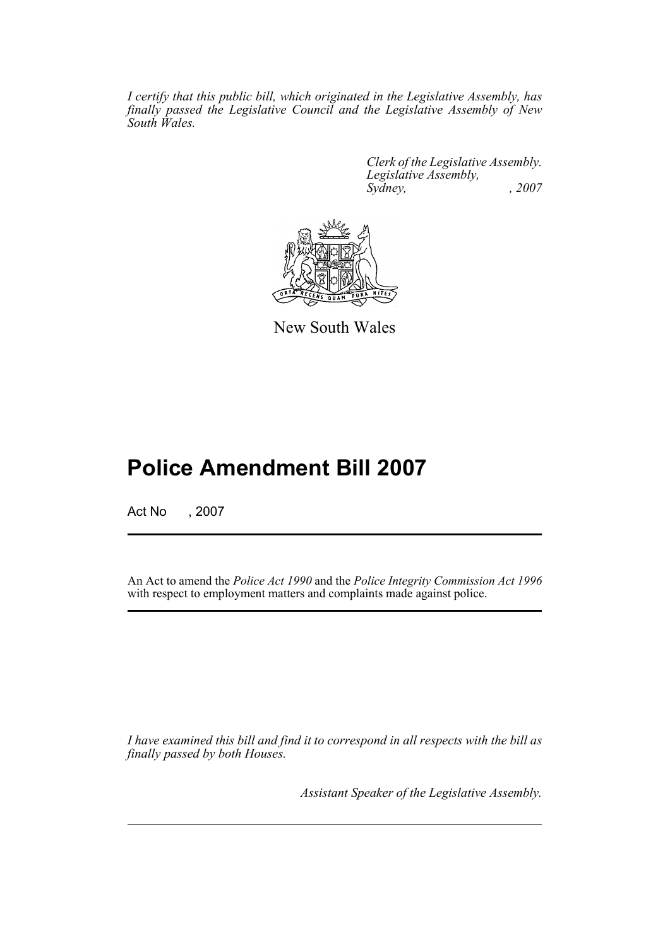*I certify that this public bill, which originated in the Legislative Assembly, has finally passed the Legislative Council and the Legislative Assembly of New South Wales.*

> *Clerk of the Legislative Assembly. Legislative Assembly, Sydney, , 2007*



New South Wales

# **Police Amendment Bill 2007**

Act No , 2007

An Act to amend the *Police Act 1990* and the *Police Integrity Commission Act 1996* with respect to employment matters and complaints made against police.

*I have examined this bill and find it to correspond in all respects with the bill as finally passed by both Houses.*

*Assistant Speaker of the Legislative Assembly.*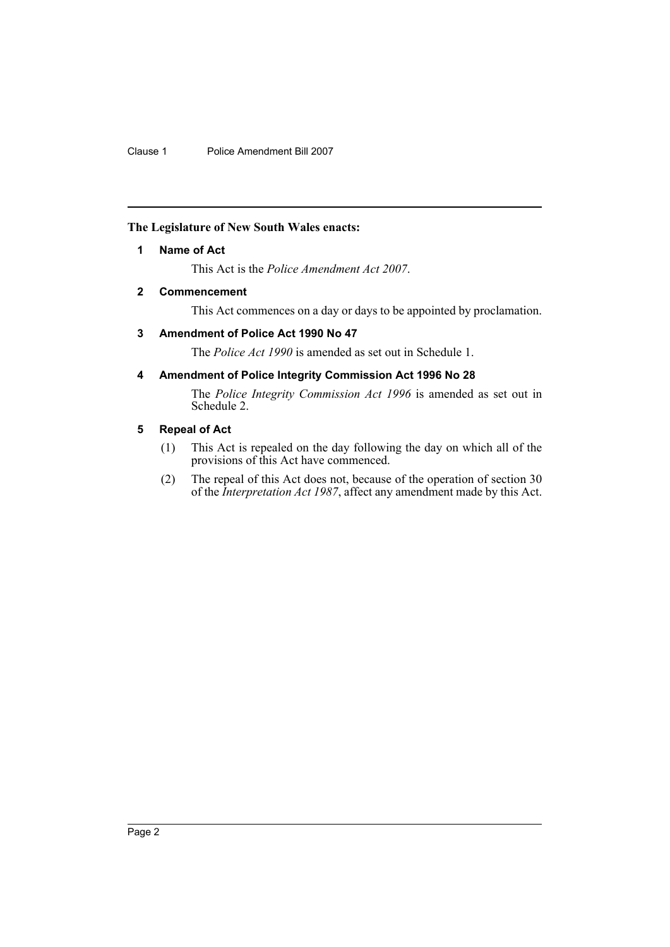## <span id="page-2-0"></span>**The Legislature of New South Wales enacts:**

## **1 Name of Act**

This Act is the *Police Amendment Act 2007*.

## <span id="page-2-1"></span>**2 Commencement**

This Act commences on a day or days to be appointed by proclamation.

## <span id="page-2-2"></span>**3 Amendment of Police Act 1990 No 47**

The *Police Act 1990* is amended as set out in Schedule 1.

## <span id="page-2-3"></span>**4 Amendment of Police Integrity Commission Act 1996 No 28**

The *Police Integrity Commission Act 1996* is amended as set out in Schedule 2.

## <span id="page-2-4"></span>**5 Repeal of Act**

- (1) This Act is repealed on the day following the day on which all of the provisions of this Act have commenced.
- (2) The repeal of this Act does not, because of the operation of section 30 of the *Interpretation Act 1987*, affect any amendment made by this Act.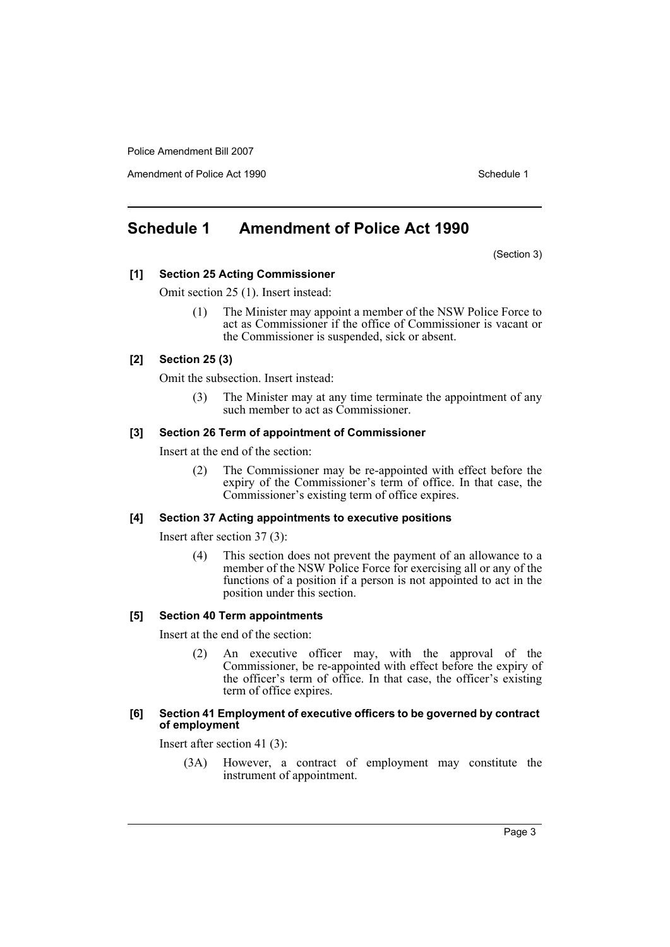Amendment of Police Act 1990 **Schedule 1** and the Schedule 1

# <span id="page-3-0"></span>**Schedule 1 Amendment of Police Act 1990**

(Section 3)

## **[1] Section 25 Acting Commissioner**

Omit section 25 (1). Insert instead:

(1) The Minister may appoint a member of the NSW Police Force to act as Commissioner if the office of Commissioner is vacant or the Commissioner is suspended, sick or absent.

#### **[2] Section 25 (3)**

Omit the subsection. Insert instead:

(3) The Minister may at any time terminate the appointment of any such member to act as Commissioner.

#### **[3] Section 26 Term of appointment of Commissioner**

Insert at the end of the section:

(2) The Commissioner may be re-appointed with effect before the expiry of the Commissioner's term of office. In that case, the Commissioner's existing term of office expires.

#### **[4] Section 37 Acting appointments to executive positions**

Insert after section 37 (3):

(4) This section does not prevent the payment of an allowance to a member of the NSW Police Force for exercising all or any of the functions of a position if a person is not appointed to act in the position under this section.

### **[5] Section 40 Term appointments**

Insert at the end of the section:

(2) An executive officer may, with the approval of the Commissioner, be re-appointed with effect before the expiry of the officer's term of office. In that case, the officer's existing term of office expires.

#### **[6] Section 41 Employment of executive officers to be governed by contract of employment**

Insert after section 41 (3):

(3A) However, a contract of employment may constitute the instrument of appointment.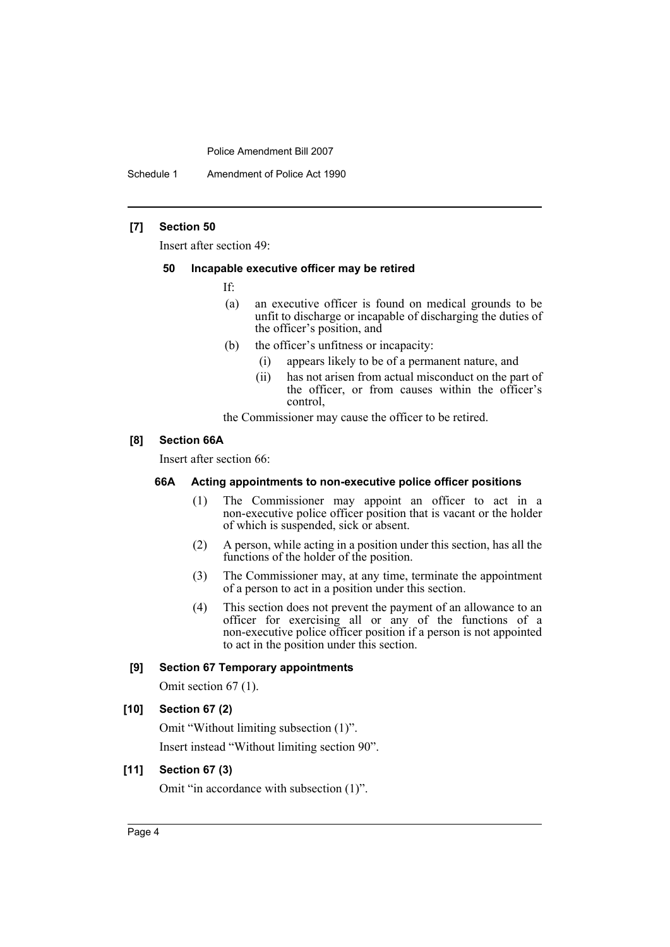Schedule 1 Amendment of Police Act 1990

## **[7] Section 50**

Insert after section 49:

#### **50 Incapable executive officer may be retired**

If:

- (a) an executive officer is found on medical grounds to be unfit to discharge or incapable of discharging the duties of the officer's position, and
- (b) the officer's unfitness or incapacity:
	- (i) appears likely to be of a permanent nature, and
	- (ii) has not arisen from actual misconduct on the part of the officer, or from causes within the officer's control,

the Commissioner may cause the officer to be retired.

## **[8] Section 66A**

Insert after section 66:

#### **66A Acting appointments to non-executive police officer positions**

- (1) The Commissioner may appoint an officer to act in a non-executive police officer position that is vacant or the holder of which is suspended, sick or absent.
- (2) A person, while acting in a position under this section, has all the functions of the holder of the position.
- (3) The Commissioner may, at any time, terminate the appointment of a person to act in a position under this section.
- (4) This section does not prevent the payment of an allowance to an officer for exercising all or any of the functions of a non-executive police officer position if a person is not appointed to act in the position under this section.

## **[9] Section 67 Temporary appointments**

Omit section 67 (1).

## **[10] Section 67 (2)**

Omit "Without limiting subsection (1)". Insert instead "Without limiting section 90".

## **[11] Section 67 (3)**

Omit "in accordance with subsection (1)".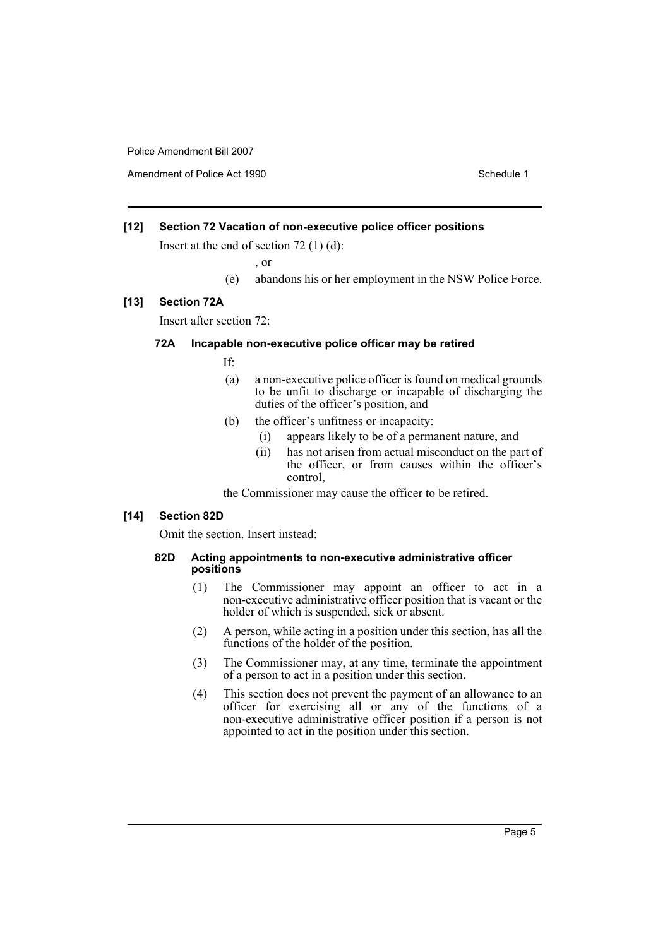Amendment of Police Act 1990 Schedule 1

## **[12] Section 72 Vacation of non-executive police officer positions**

Insert at the end of section 72 (1) (d):

, or

(e) abandons his or her employment in the NSW Police Force.

#### **[13] Section 72A**

Insert after section 72:

#### **72A Incapable non-executive police officer may be retired**

If:

- (a) a non-executive police officer is found on medical grounds to be unfit to discharge or incapable of discharging the duties of the officer's position, and
- (b) the officer's unfitness or incapacity:
	- (i) appears likely to be of a permanent nature, and
	- (ii) has not arisen from actual misconduct on the part of the officer, or from causes within the officer's control,

the Commissioner may cause the officer to be retired.

### **[14] Section 82D**

Omit the section. Insert instead:

#### **82D Acting appointments to non-executive administrative officer positions**

- (1) The Commissioner may appoint an officer to act in a non-executive administrative officer position that is vacant or the holder of which is suspended, sick or absent.
- (2) A person, while acting in a position under this section, has all the functions of the holder of the position.
- (3) The Commissioner may, at any time, terminate the appointment of a person to act in a position under this section.
- (4) This section does not prevent the payment of an allowance to an officer for exercising all or any of the functions of a non-executive administrative officer position if a person is not appointed to act in the position under this section.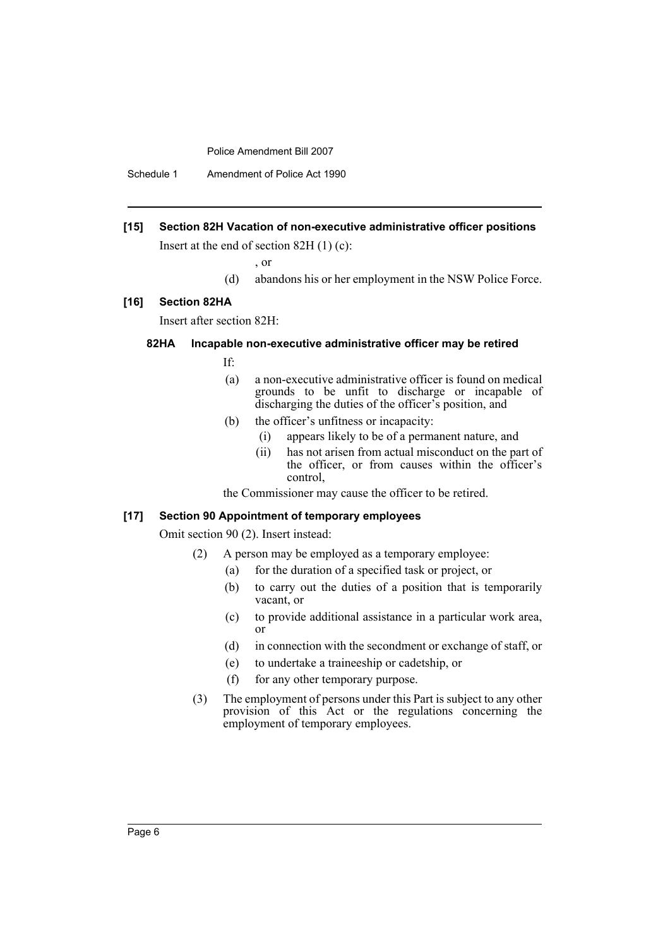Schedule 1 Amendment of Police Act 1990

## **[15] Section 82H Vacation of non-executive administrative officer positions**

Insert at the end of section 82H (1) (c):

, or

(d) abandons his or her employment in the NSW Police Force.

#### **[16] Section 82HA**

Insert after section 82H:

#### **82HA Incapable non-executive administrative officer may be retired**

If:

- (a) a non-executive administrative officer is found on medical grounds to be unfit to discharge or incapable of discharging the duties of the officer's position, and
- (b) the officer's unfitness or incapacity:
	- (i) appears likely to be of a permanent nature, and
	- (ii) has not arisen from actual misconduct on the part of the officer, or from causes within the officer's control,

the Commissioner may cause the officer to be retired.

## **[17] Section 90 Appointment of temporary employees**

Omit section 90 (2). Insert instead:

- (2) A person may be employed as a temporary employee:
	- (a) for the duration of a specified task or project, or
	- (b) to carry out the duties of a position that is temporarily vacant, or
	- (c) to provide additional assistance in a particular work area, or
	- (d) in connection with the secondment or exchange of staff, or
	- (e) to undertake a traineeship or cadetship, or
	- (f) for any other temporary purpose.
- (3) The employment of persons under this Part is subject to any other provision of this Act or the regulations concerning the employment of temporary employees.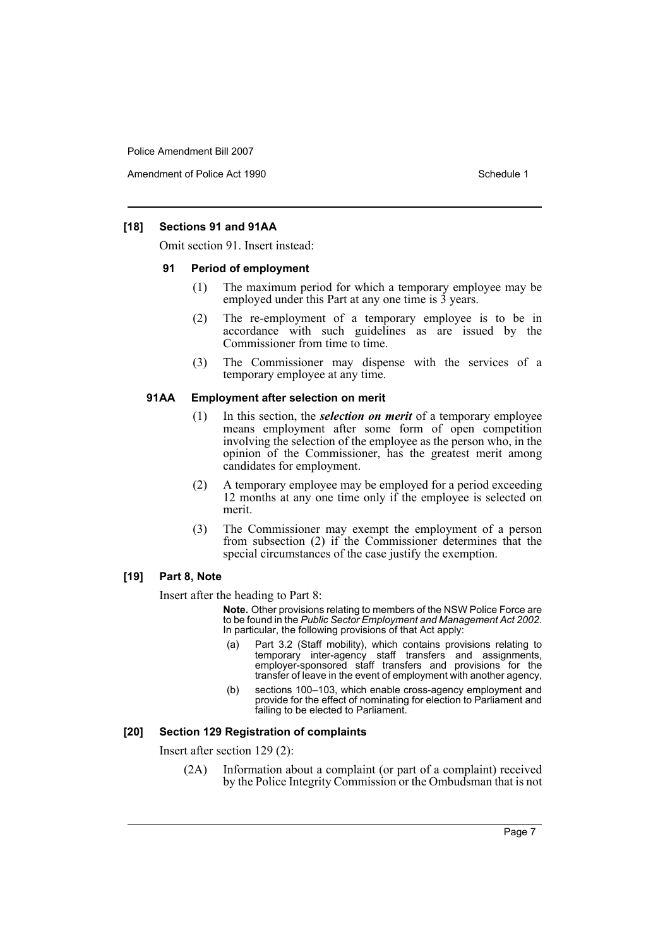Amendment of Police Act 1990 **Schedule 1** and the Schedule 1

## **[18] Sections 91 and 91AA**

Omit section 91. Insert instead:

#### **91 Period of employment**

- (1) The maximum period for which a temporary employee may be employed under this Part at any one time is 3 years.
- (2) The re-employment of a temporary employee is to be in accordance with such guidelines as are issued by the Commissioner from time to time.
- (3) The Commissioner may dispense with the services of a temporary employee at any time.

#### **91AA Employment after selection on merit**

- (1) In this section, the *selection on merit* of a temporary employee means employment after some form of open competition involving the selection of the employee as the person who, in the opinion of the Commissioner, has the greatest merit among candidates for employment.
- (2) A temporary employee may be employed for a period exceeding 12 months at any one time only if the employee is selected on merit.
- (3) The Commissioner may exempt the employment of a person from subsection (2) if the Commissioner determines that the special circumstances of the case justify the exemption.

## **[19] Part 8, Note**

Insert after the heading to Part 8:

**Note.** Other provisions relating to members of the NSW Police Force are to be found in the *Public Sector Employment and Management Act 2002*. In particular, the following provisions of that Act apply:

- (a) Part 3.2 (Staff mobility), which contains provisions relating to temporary inter-agency staff transfers and assignments, employer-sponsored staff transfers and provisions for the transfer of leave in the event of employment with another agency,
- (b) sections 100–103, which enable cross-agency employment and provide for the effect of nominating for election to Parliament and failing to be elected to Parliament.

#### **[20] Section 129 Registration of complaints**

Insert after section 129 (2):

(2A) Information about a complaint (or part of a complaint) received by the Police Integrity Commission or the Ombudsman that is not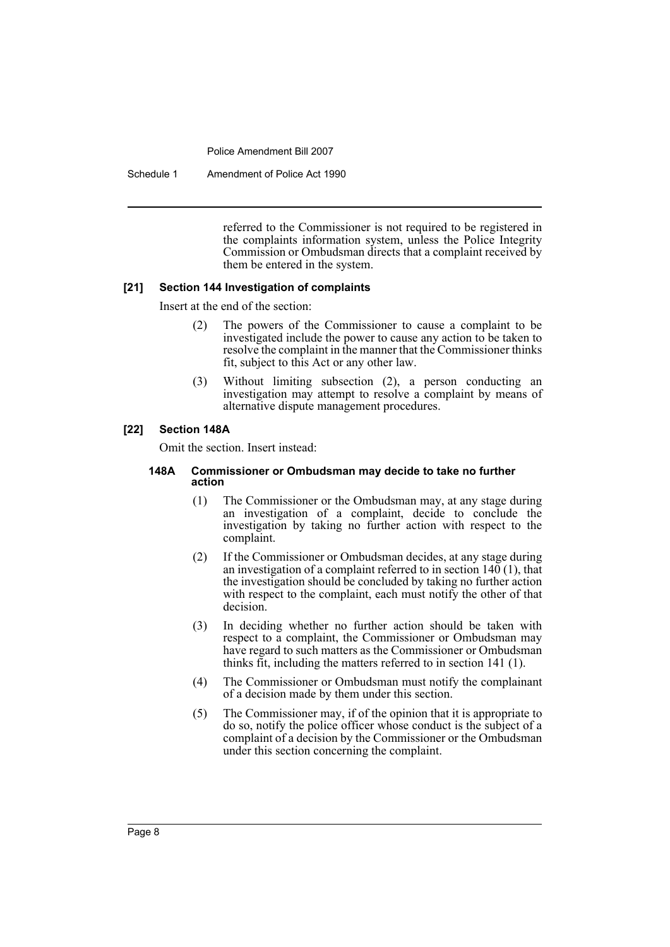Schedule 1 Amendment of Police Act 1990

referred to the Commissioner is not required to be registered in the complaints information system, unless the Police Integrity Commission or Ombudsman directs that a complaint received by them be entered in the system.

## **[21] Section 144 Investigation of complaints**

Insert at the end of the section:

- (2) The powers of the Commissioner to cause a complaint to be investigated include the power to cause any action to be taken to resolve the complaint in the manner that the Commissioner thinks fit, subject to this Act or any other law.
- (3) Without limiting subsection (2), a person conducting an investigation may attempt to resolve a complaint by means of alternative dispute management procedures.

## **[22] Section 148A**

Omit the section. Insert instead:

#### **148A Commissioner or Ombudsman may decide to take no further action**

- (1) The Commissioner or the Ombudsman may, at any stage during an investigation of a complaint, decide to conclude the investigation by taking no further action with respect to the complaint.
- (2) If the Commissioner or Ombudsman decides, at any stage during an investigation of a complaint referred to in section 140 (1), that the investigation should be concluded by taking no further action with respect to the complaint, each must notify the other of that decision.
- (3) In deciding whether no further action should be taken with respect to a complaint, the Commissioner or Ombudsman may have regard to such matters as the Commissioner or Ombudsman thinks fit, including the matters referred to in section 141 (1).
- (4) The Commissioner or Ombudsman must notify the complainant of a decision made by them under this section.
- (5) The Commissioner may, if of the opinion that it is appropriate to do so, notify the police officer whose conduct is the subject of a complaint of a decision by the Commissioner or the Ombudsman under this section concerning the complaint.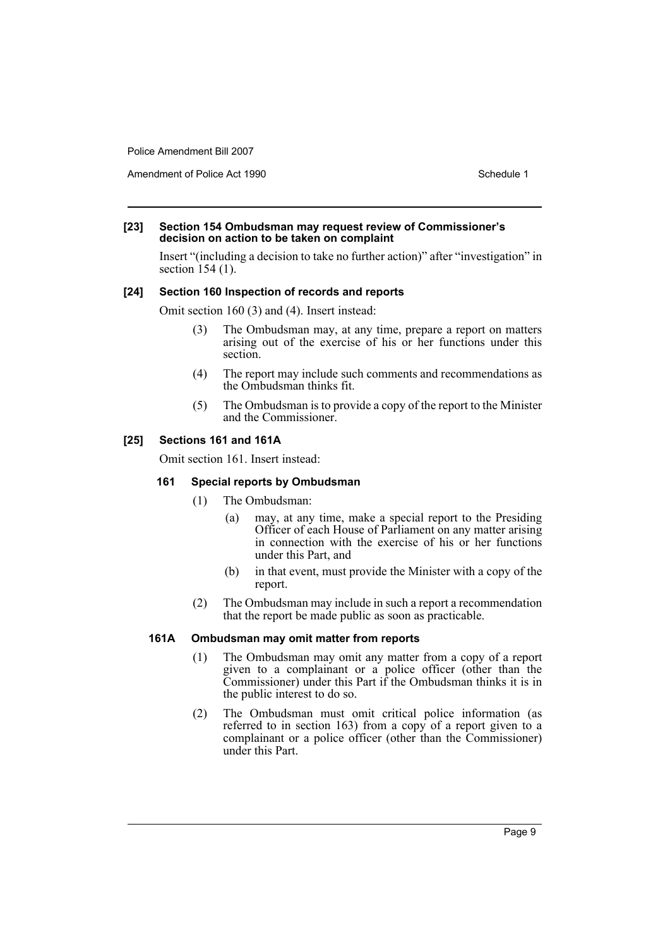Amendment of Police Act 1990 Schedule 1

#### **[23] Section 154 Ombudsman may request review of Commissioner's decision on action to be taken on complaint**

Insert "(including a decision to take no further action)" after "investigation" in section 154 (1).

## **[24] Section 160 Inspection of records and reports**

Omit section 160 (3) and (4). Insert instead:

- (3) The Ombudsman may, at any time, prepare a report on matters arising out of the exercise of his or her functions under this section.
- (4) The report may include such comments and recommendations as the Ombudsman thinks fit.
- (5) The Ombudsman is to provide a copy of the report to the Minister and the Commissioner.

## **[25] Sections 161 and 161A**

Omit section 161. Insert instead:

#### **161 Special reports by Ombudsman**

- (1) The Ombudsman:
	- (a) may, at any time, make a special report to the Presiding Officer of each House of Parliament on any matter arising in connection with the exercise of his or her functions under this Part, and
	- (b) in that event, must provide the Minister with a copy of the report.
- (2) The Ombudsman may include in such a report a recommendation that the report be made public as soon as practicable.

#### **161A Ombudsman may omit matter from reports**

- (1) The Ombudsman may omit any matter from a copy of a report given to a complainant or a police officer (other than the Commissioner) under this Part if the Ombudsman thinks it is in the public interest to do so.
- (2) The Ombudsman must omit critical police information (as referred to in section 163) from a copy of a report given to a complainant or a police officer (other than the Commissioner) under this Part.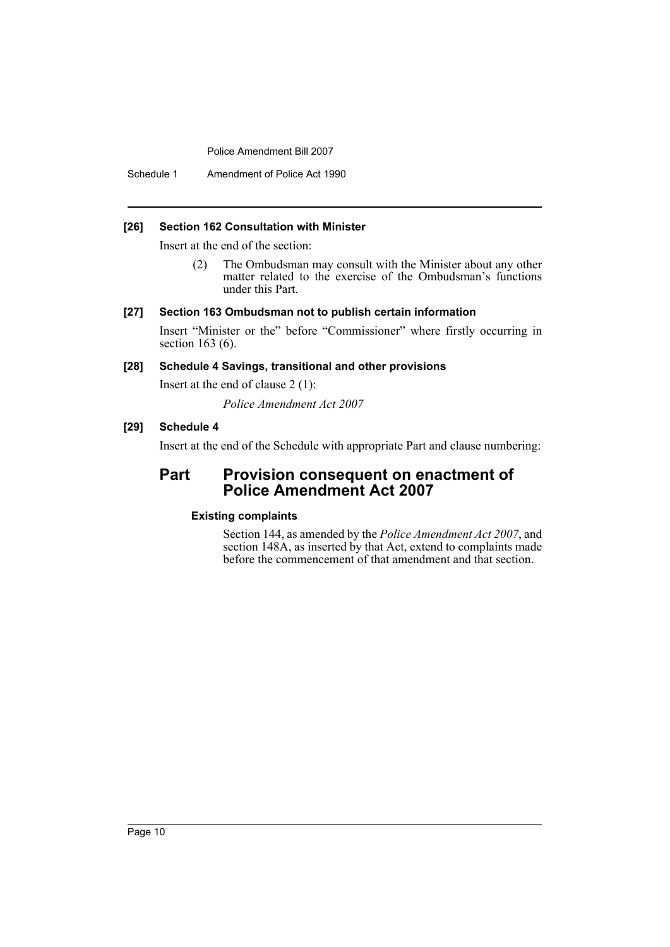Schedule 1 Amendment of Police Act 1990

#### **[26] Section 162 Consultation with Minister**

Insert at the end of the section:

(2) The Ombudsman may consult with the Minister about any other matter related to the exercise of the Ombudsman's functions under this Part.

#### **[27] Section 163 Ombudsman not to publish certain information**

Insert "Minister or the" before "Commissioner" where firstly occurring in section 163 (6).

## **[28] Schedule 4 Savings, transitional and other provisions**

Insert at the end of clause 2 (1):

*Police Amendment Act 2007*

## **[29] Schedule 4**

Insert at the end of the Schedule with appropriate Part and clause numbering:

## **Part Provision consequent on enactment of Police Amendment Act 2007**

## **Existing complaints**

Section 144, as amended by the *Police Amendment Act 2007*, and section 148A, as inserted by that Act, extend to complaints made before the commencement of that amendment and that section.